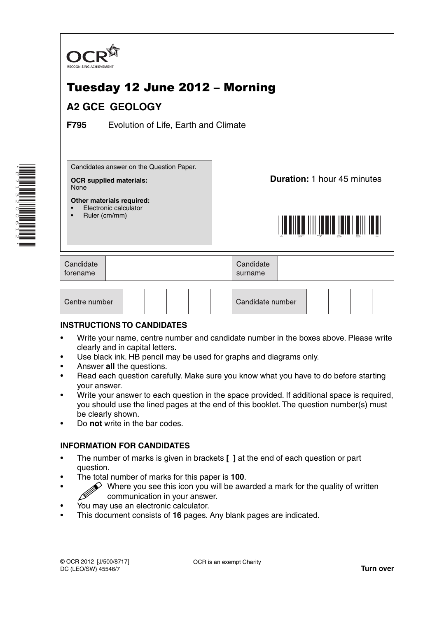

# **INSTRUCTIONS TO CANDIDATES**

- Write your name, centre number and candidate number in the boxes above. Please write clearly and in capital letters.
- Use black ink. HB pencil may be used for graphs and diagrams only.
- Answer **all** the questions.

\*F713200612\*

- Read each question carefully. Make sure you know what you have to do before starting your answer.
- Write your answer to each question in the space provided. If additional space is required, you should use the lined pages at the end of this booklet. The question number(s) must be clearly shown.
- Do **not** write in the bar codes.

# **INFORMATION FOR CANDIDATES**

- The number of marks is given in brackets **[ ]** at the end of each question or part question.
- The total number of marks for this paper is **100**.
- Where you see this icon you will be awarded a mark for the quality of written communication in your answer.
- You may use an electronic calculator.
- This document consists of **16** pages. Any blank pages are indicated.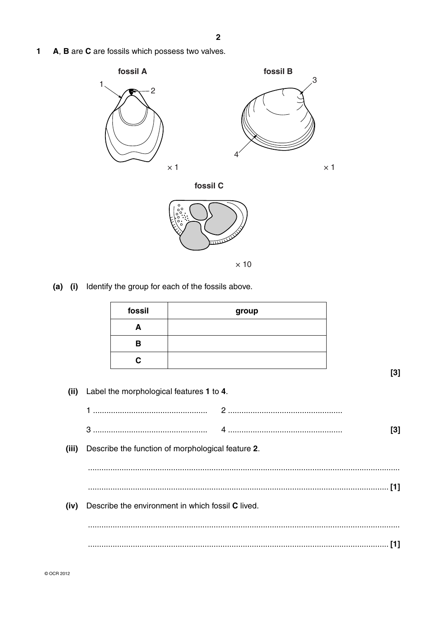A, B are C are fossils which possess two valves.  $\mathbf{1}$ 



(a) (i) Identify the group for each of the fossils above.

|       | fossil | group                                             |       |
|-------|--------|---------------------------------------------------|-------|
|       | A      |                                                   |       |
|       | B      |                                                   |       |
|       | C      |                                                   |       |
|       |        |                                                   | $[3]$ |
| (ii)  |        | Label the morphological features 1 to 4.          |       |
|       |        |                                                   |       |
|       |        |                                                   | $[3]$ |
| (iii) |        | Describe the function of morphological feature 2. |       |
|       |        |                                                   |       |
|       |        |                                                   |       |
| (iv)  |        | Describe the environment in which fossil C lived. |       |
|       |        |                                                   |       |
|       |        |                                                   | $[1]$ |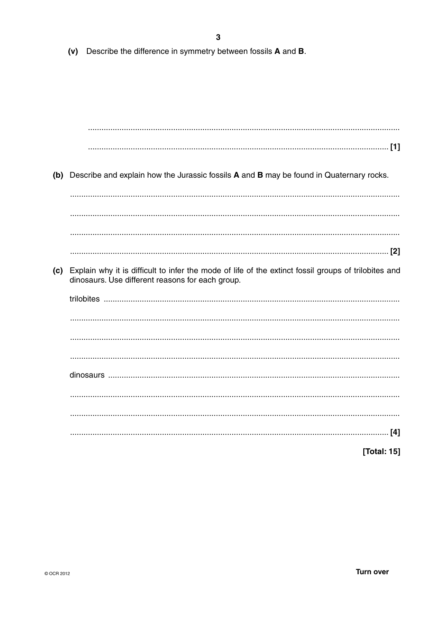Describe the difference in symmetry between fossils A and B.  $(v)$ 

(b) Describe and explain how the Jurassic fossils A and B may be found in Quaternary rocks. (c) Explain why it is difficult to infer the mode of life of the extinct fossil groups of trilobites and dinosaurs. Use different reasons for each group. [Total: 15]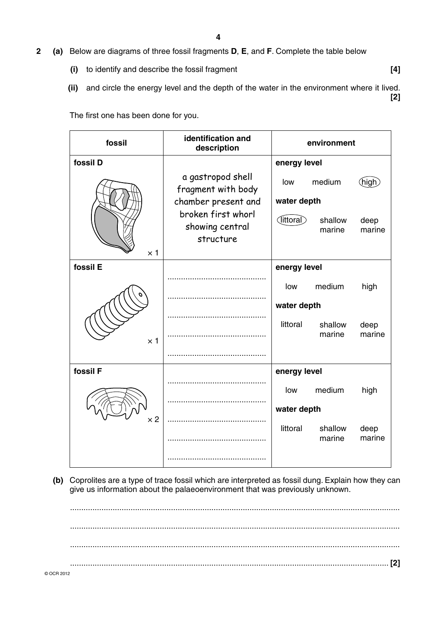- **2 (a)** Below are diagrams of three fossil fragments **D**, **E**, and **F**. Complete the table below
	- **(i)** to identify and describe the fossil fragment **[4]**
	- **(ii)** and circle the energy level and the depth of the water in the environment where it lived. **[2]**

The first one has been done for you.

| fossil     | identification and<br>description                              | environment        |                   |                |  |
|------------|----------------------------------------------------------------|--------------------|-------------------|----------------|--|
| fossil D   |                                                                |                    | energy level      |                |  |
|            | a gastropod shell<br>fragment with body<br>chamber present and | low<br>water depth | medium            | <u>(</u> high  |  |
| $\times$ 1 | broken first whorl<br>showing central<br>structure             | (littoral)         | shallow<br>marine | deep<br>marine |  |
| fossil E   |                                                                | energy level       |                   |                |  |
|            |                                                                | low                | medium            | high           |  |
|            |                                                                | water depth        |                   |                |  |
| $\times$ 1 |                                                                | littoral           | shallow<br>marine | deep<br>marine |  |
|            |                                                                |                    |                   |                |  |
| fossil F   |                                                                | energy level       |                   |                |  |
|            |                                                                | low                | medium            | high           |  |
|            |                                                                | water depth        |                   |                |  |
| $\times 2$ |                                                                | littoral           | shallow           | deep           |  |
|            |                                                                |                    | marine            | marine         |  |
|            |                                                                |                    |                   |                |  |

 **(b)** Coprolites are a type of trace fossil which are interpreted as fossil dung. Explain how they can give us information about the palaeoenvironment that was previously unknown.

© OCR 2012 ................................................................................................................................................... ................................................................................................................................................... ................................................................................................................................................... .............................................................................................................................................. **[2]**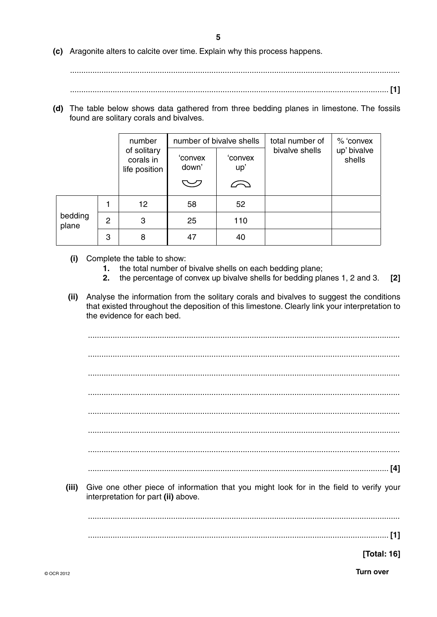**5**

 **(c)** Aragonite alters to calcite over time. Explain why this process happens.

...................................................................................................................................................

.............................................................................................................................................. **[1]**

 **(d)** The table below shows data gathered from three bedding planes in limestone. The fossils found are solitary corals and bivalves.

|                  |   | number                                    | number of bivalve shells         |                | total number of | % 'convex             |
|------------------|---|-------------------------------------------|----------------------------------|----------------|-----------------|-----------------------|
|                  |   | of solitary<br>corals in<br>life position | 'convex<br>down'                 | 'convex<br>up' | bivalve shells  | up' bivalve<br>shells |
|                  |   |                                           | $\smash{\smash{\smash{\cup}}\,}$ |                |                 |                       |
|                  |   | 12                                        | 58                               | 52             |                 |                       |
| bedding<br>plane | 2 | 3                                         | 25                               | 110            |                 |                       |
|                  | 3 | 8                                         | 47                               | 40             |                 |                       |

- **(i)** Complete the table to show:
	- **1.** the total number of bivalve shells on each bedding plane;
	- **2.** the percentage of convex up bivalve shells for bedding planes 1, 2 and 3. **[2]**
- **(ii)** Analyse the information from the solitary corals and bivalves to suggest the conditions that existed throughout the deposition of this limestone. Clearly link your interpretation to the evidence for each bed.

 ........................................................................................................................................... ........................................................................................................................................... ........................................................................................................................................... ........................................................................................................................................... ........................................................................................................................................... ........................................................................................................................................... ........................................................................................................................................... ...................................................................................................................................... **[4]**

 **(iii)** Give one other piece of information that you might look for in the field to verify your interpretation for part **(ii)** above.

...........................................................................................................................................

...................................................................................................................................... **[1]**

**[Total: 16]**

© OCR 2012 **Turn over**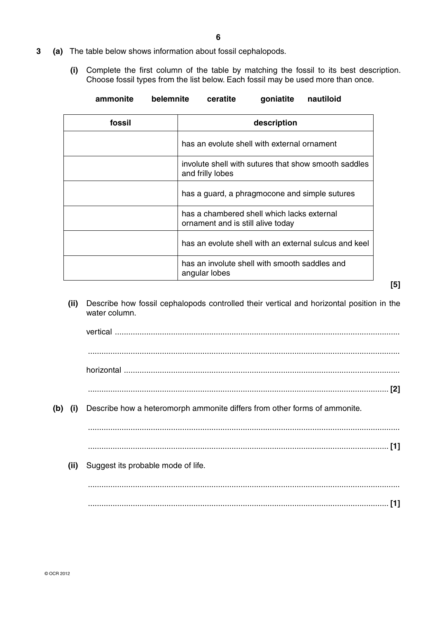- **3 (a)** The table below shows information about fossil cephalopods.
	- **(i)** Complete the first column of the table by matching the fossil to its best description. Choose fossil types from the list below. Each fossil may be used more than once.

| nautiloid<br>ammonite<br>goniatite<br>belemnite<br>ceratite |  |  |
|-------------------------------------------------------------|--|--|
|-------------------------------------------------------------|--|--|

| fossil | description                                                                     |
|--------|---------------------------------------------------------------------------------|
|        | has an evolute shell with external ornament                                     |
|        | involute shell with sutures that show smooth saddles<br>and frilly lobes        |
|        | has a guard, a phragmocone and simple sutures                                   |
|        | has a chambered shell which lacks external<br>ornament and is still alive today |
|        | has an evolute shell with an external sulcus and keel                           |
|        | has an involute shell with smooth saddles and<br>angular lobes                  |

- **[5]**
- **(ii)** Describe how fossil cephalopods controlled their vertical and horizontal position in the water column.

vertical ............................................................................................................................... ........................................................................................................................................... horizontal ........................................................................................................................... ...................................................................................................................................... **[2]**

 **(b) (i)** Describe how a heteromorph ammonite differs from other forms of ammonite.

 ........................................................................................................................................... ...................................................................................................................................... **[1]**

 **(ii)** Suggest its probable mode of life.

 ........................................................................................................................................... ...................................................................................................................................... **[1]**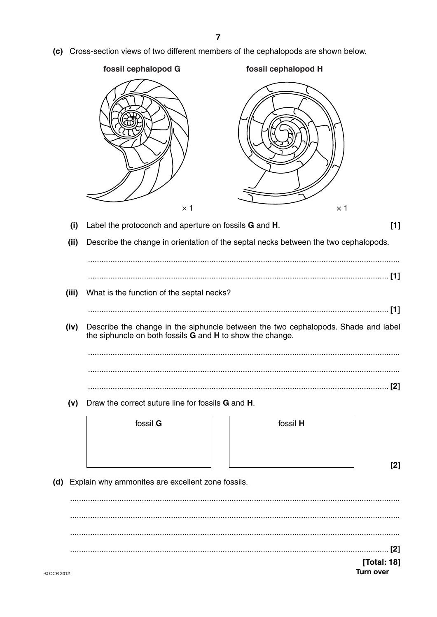(c) Cross-section views of two different members of the cephalopods are shown below.



[Total: 18] **Turn over**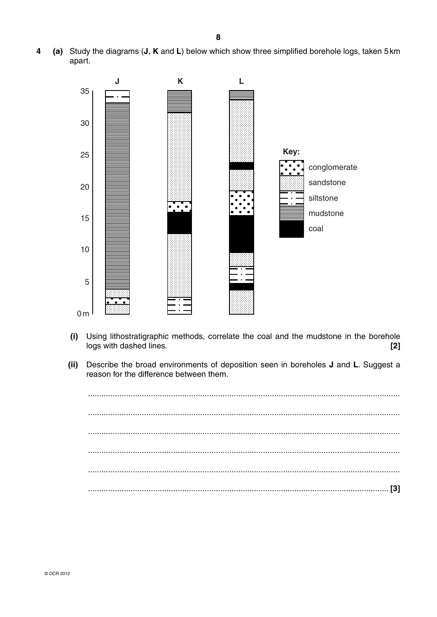(a) Study the diagrams (J, K and L) below which show three simplified borehole logs, taken 5 km 4 apart.



- Using lithostratigraphic methods, correlate the coal and the mudstone in the borehole  $(i)$ logs with dashed lines.  $[2]$
- Describe the broad environments of deposition seen in boreholes J and L. Suggest a  $(ii)$ reason for the difference between them.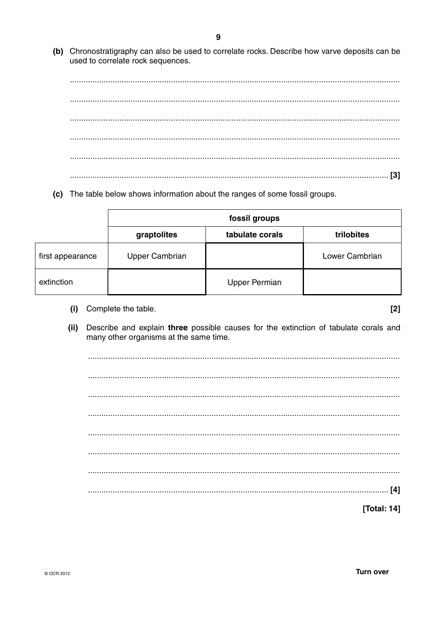(b) Chronostratigraphy can also be used to correlate rocks. Describe how varve deposits can be used to correlate rock sequences.

(c) The table below shows information about the ranges of some fossil groups.

|                  | fossil groups         |                      |                |  |
|------------------|-----------------------|----------------------|----------------|--|
|                  | graptolites           | tabulate corals      | trilobites     |  |
| first appearance | <b>Upper Cambrian</b> |                      | Lower Cambrian |  |
| extinction       |                       | <b>Upper Permian</b> |                |  |

(i) Complete the table.

 $[2]$ 

Describe and explain three possible causes for the extinction of tabulate corals and  $(ii)$ many other organisms at the same time.

[Total: 14]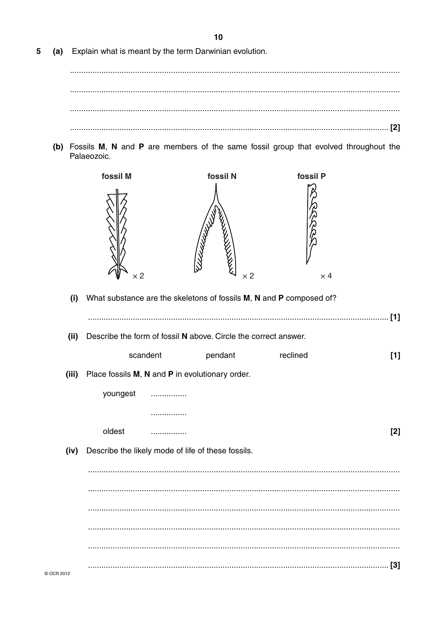(a) Explain what is meant by the term Darwinian evolution. 5

(b) Fossils M, N and P are members of the same fossil group that evolved throughout the Palaeozoic.



(i) What substance are the skeletons of fossils M, N and P composed of?

|           |                                                                 |          |                                                    |          | $[1]$ |
|-----------|-----------------------------------------------------------------|----------|----------------------------------------------------|----------|-------|
| (ii)      | Describe the form of fossil N above. Circle the correct answer. |          |                                                    |          |       |
|           |                                                                 | scandent | pendant                                            | reclined | $[1]$ |
| (iii)     | Place fossils M, N and P in evolutionary order.                 |          |                                                    |          |       |
|           | youngest                                                        | .        |                                                    |          |       |
|           |                                                                 |          |                                                    |          |       |
|           | oldest                                                          | .        |                                                    |          | $[2]$ |
| (iv)      |                                                                 |          | Describe the likely mode of life of these fossils. |          |       |
|           |                                                                 |          |                                                    |          |       |
|           |                                                                 |          |                                                    |          |       |
|           |                                                                 |          |                                                    |          |       |
|           |                                                                 |          |                                                    |          |       |
|           |                                                                 |          |                                                    |          |       |
| COCR 2012 |                                                                 |          |                                                    |          | $[3]$ |

 $10$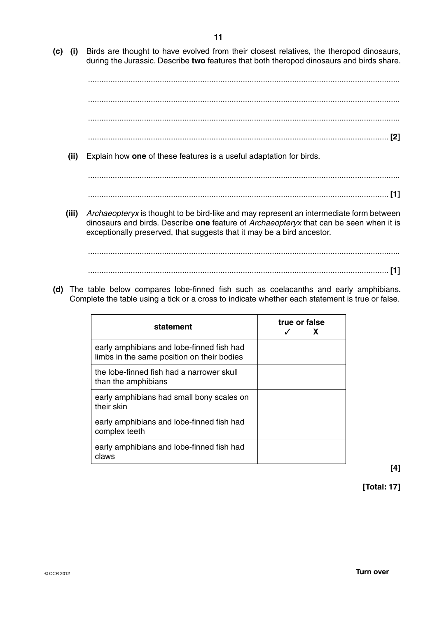- **11**
- **(c) (i)** Birds are thought to have evolved from their closest relatives, the theropod dinosaurs, during the Jurassic. Describe **two** features that both theropod dinosaurs and birds share.

 ........................................................................................................................................... ........................................................................................................................................... ........................................................................................................................................... ...................................................................................................................................... **[2]**

 **(ii)** Explain how **one** of these features is a useful adaptation for birds.

 ........................................................................................................................................... ...................................................................................................................................... **[1]**

 **(iii)** *Archaeopteryx* is thought to be bird-like and may represent an intermediate form between dinosaurs and birds. Describe **one** feature of *Archaeopteryx* that can be seen when it is exceptionally preserved, that suggests that it may be a bird ancestor.

...........................................................................................................................................

- ...................................................................................................................................... **[1]**
- **(d)** The table below compares lobe-finned fish such as coelacanths and early amphibians. Complete the table using a tick or a cross to indicate whether each statement is true or false.

| statement                                                                               | true or false<br>X |
|-----------------------------------------------------------------------------------------|--------------------|
| early amphibians and lobe-finned fish had<br>limbs in the same position on their bodies |                    |
| the lobe-finned fish had a narrower skull<br>than the amphibians                        |                    |
| early amphibians had small bony scales on<br>their skin                                 |                    |
| early amphibians and lobe-finned fish had<br>complex teeth                              |                    |
| early amphibians and lobe-finned fish had<br>claws                                      |                    |

**[4]**

**[Total: 17]**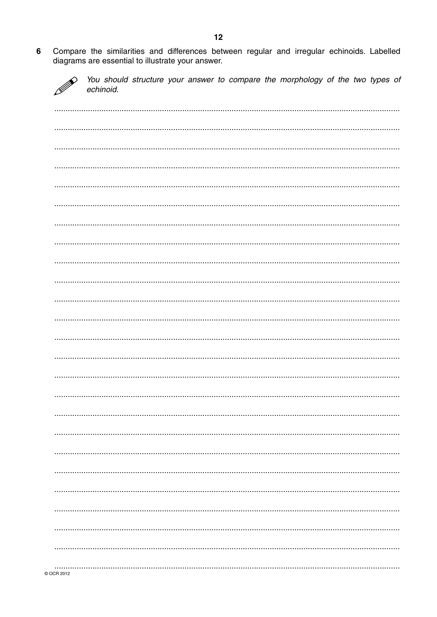Compare the similarities and differences between regular and irregular echinoids. Labelled  $6\phantom{a}$ diagrams are essential to illustrate your answer.



You should structure your answer to compare the morphology of the two types of echinoid.

| .         |   |
|-----------|---|
|           |   |
|           | . |
|           |   |
|           |   |
|           |   |
|           |   |
| COCR 2012 |   |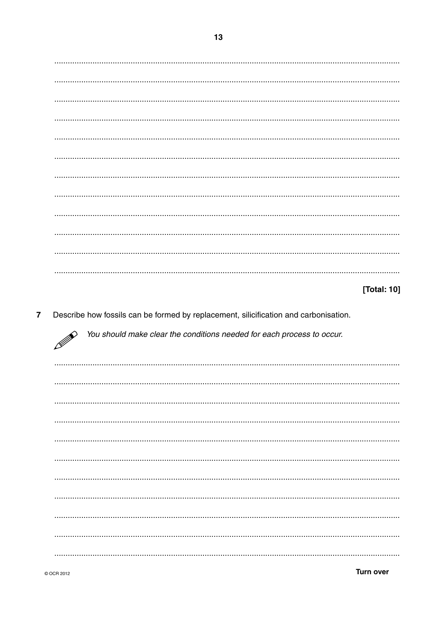### [Total: 10]

Describe how fossils can be formed by replacement, silicification and carbonisation.  $\overline{\mathbf{7}}$ 

You should make clear the conditions needed for each process to occur.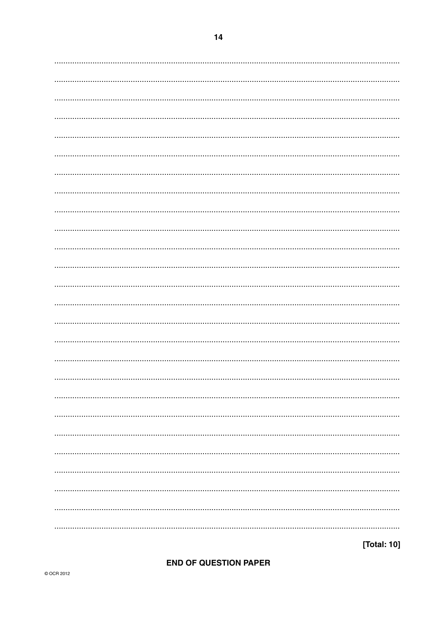# OF QUESTIO

[Total: 10]

|  |  | <b>END OF QUESTION PAPER</b> |
|--|--|------------------------------|
|  |  |                              |

| $\sim 100$<br><br>$\cdots$<br>$\cdots$<br>. .<br><br>$\cdots$<br>$\sim 0.01$<br> |  |
|----------------------------------------------------------------------------------|--|
|                                                                                  |  |
|                                                                                  |  |
|                                                                                  |  |
|                                                                                  |  |
|                                                                                  |  |
|                                                                                  |  |
|                                                                                  |  |
|                                                                                  |  |
|                                                                                  |  |
|                                                                                  |  |
|                                                                                  |  |
|                                                                                  |  |
|                                                                                  |  |
|                                                                                  |  |
|                                                                                  |  |
|                                                                                  |  |
|                                                                                  |  |
|                                                                                  |  |
|                                                                                  |  |
|                                                                                  |  |
|                                                                                  |  |
|                                                                                  |  |
|                                                                                  |  |
|                                                                                  |  |
|                                                                                  |  |
|                                                                                  |  |
|                                                                                  |  |
|                                                                                  |  |
|                                                                                  |  |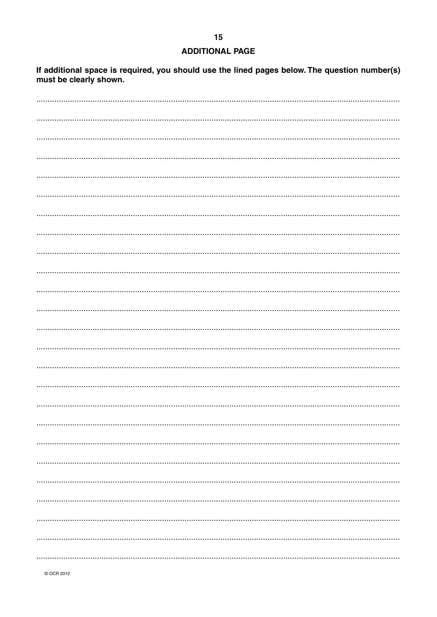## **ADDITIONAL PAGE**

If additional space is required, you should use the lined pages below. The question number(s) must be clearly shown.